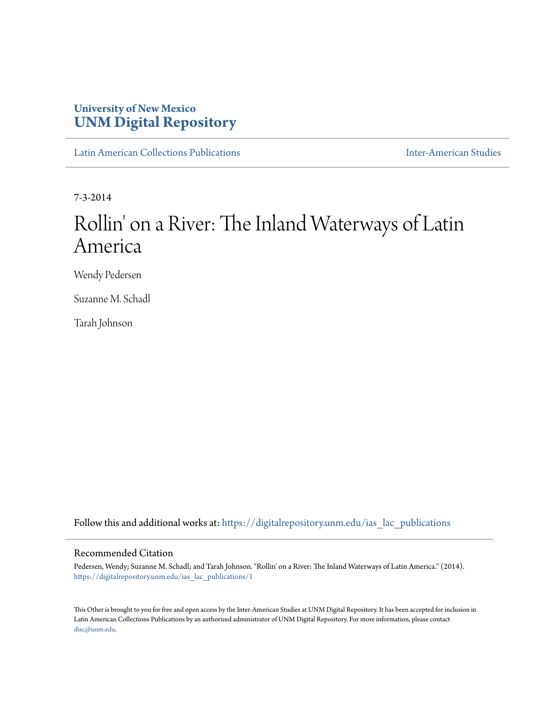# **University of New Mexico [UNM Digital Repository](https://digitalrepository.unm.edu?utm_source=digitalrepository.unm.edu%2Fias_lac_publications%2F1&utm_medium=PDF&utm_campaign=PDFCoverPages)**

[Latin American Collections Publications](https://digitalrepository.unm.edu/ias_lac_publications?utm_source=digitalrepository.unm.edu%2Fias_lac_publications%2F1&utm_medium=PDF&utm_campaign=PDFCoverPages) [Inter-American Studies](https://digitalrepository.unm.edu/ias?utm_source=digitalrepository.unm.edu%2Fias_lac_publications%2F1&utm_medium=PDF&utm_campaign=PDFCoverPages)

7-3-2014

# Rollin' on a River: The Inland Waterways of Latin America

Wendy Pedersen

Suzanne M. Schadl

Tarah Johnson

Follow this and additional works at: [https://digitalrepository.unm.edu/ias\\_lac\\_publications](https://digitalrepository.unm.edu/ias_lac_publications?utm_source=digitalrepository.unm.edu%2Fias_lac_publications%2F1&utm_medium=PDF&utm_campaign=PDFCoverPages)

#### Recommended Citation

Pedersen, Wendy; Suzanne M. Schadl; and Tarah Johnson. "Rollin' on a River: The Inland Waterways of Latin America." (2014). [https://digitalrepository.unm.edu/ias\\_lac\\_publications/1](https://digitalrepository.unm.edu/ias_lac_publications/1?utm_source=digitalrepository.unm.edu%2Fias_lac_publications%2F1&utm_medium=PDF&utm_campaign=PDFCoverPages)

This Other is brought to you for free and open access by the Inter-American Studies at UNM Digital Repository. It has been accepted for inclusion in Latin American Collections Publications by an authorized administrator of UNM Digital Repository. For more information, please contact [disc@unm.edu](mailto:disc@unm.edu).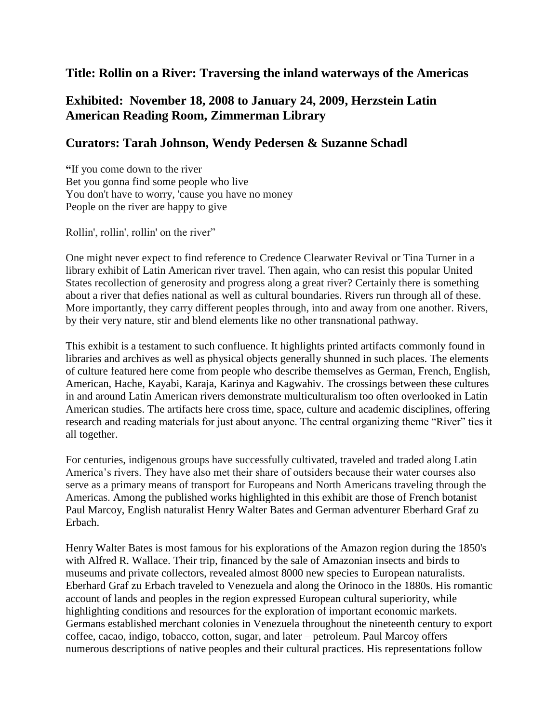### **Title: Rollin on a River: Traversing the inland waterways of the Americas**

## **Exhibited: November 18, 2008 to January 24, 2009, Herzstein Latin American Reading Room, Zimmerman Library**

### **Curators: Tarah Johnson, Wendy Pedersen & Suzanne Schadl**

**"**If you come down to the river Bet you gonna find some people who live You don't have to worry, 'cause you have no money People on the river are happy to give

Rollin', rollin', rollin' on the river"

One might never expect to find reference to Credence Clearwater Revival or Tina Turner in a library exhibit of Latin American river travel. Then again, who can resist this popular United States recollection of generosity and progress along a great river? Certainly there is something about a river that defies national as well as cultural boundaries. Rivers run through all of these. More importantly, they carry different peoples through, into and away from one another. Rivers, by their very nature, stir and blend elements like no other transnational pathway.

This exhibit is a testament to such confluence. It highlights printed artifacts commonly found in libraries and archives as well as physical objects generally shunned in such places. The elements of culture featured here come from people who describe themselves as German, French, English, American, Hache, Kayabi, Karaja, Karinya and Kagwahiv. The crossings between these cultures in and around Latin American rivers demonstrate multiculturalism too often overlooked in Latin American studies. The artifacts here cross time, space, culture and academic disciplines, offering research and reading materials for just about anyone. The central organizing theme "River" ties it all together.

For centuries, indigenous groups have successfully cultivated, traveled and traded along Latin America's rivers. They have also met their share of outsiders because their water courses also serve as a primary means of transport for Europeans and North Americans traveling through the Americas. Among the published works highlighted in this exhibit are those of French botanist Paul Marcoy, English naturalist Henry Walter Bates and German adventurer Eberhard Graf zu Erbach.

Henry Walter Bates is most famous for his explorations of the Amazon region during the 1850's with Alfred R. Wallace. Their trip, financed by the sale of Amazonian insects and birds to museums and private collectors, revealed almost 8000 new species to European naturalists. Eberhard Graf zu Erbach traveled to Venezuela and along the Orinoco in the 1880s. His romantic account of lands and peoples in the region expressed European cultural superiority, while highlighting conditions and resources for the exploration of important economic markets. Germans established merchant colonies in Venezuela throughout the nineteenth century to export coffee, cacao, indigo, tobacco, cotton, sugar, and later – petroleum. Paul Marcoy offers numerous descriptions of native peoples and their cultural practices. His representations follow